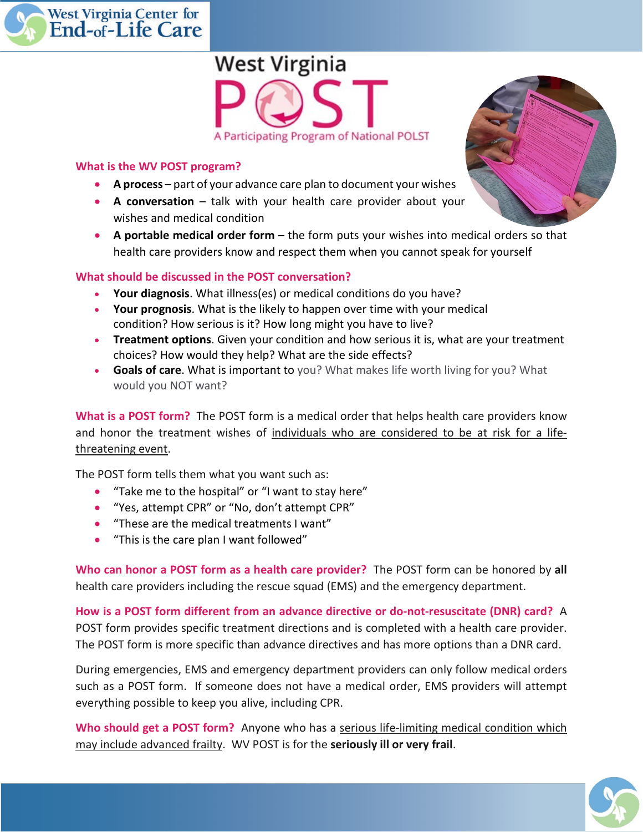



## **What is the WV POST program?**

- **A process**  part of your advance care plan to document your wishes
- **A conversation** talk with your health care provider about your wishes and medical condition
- **A portable medical order form** the form puts your wishes into medical orders so that health care providers know and respect them when you cannot speak for yourself

## **What should be discussed in the POST conversation?**

- **Your diagnosis**. What illness(es) or medical conditions do you have?
- **Your prognosis**. What is the likely to happen over time with your medical condition? How serious is it? How long might you have to live?
- **Treatment options**. Given your condition and how serious it is, what are your treatment choices? How would they help? What are the side effects?
- **Goals of care**. What is important to you? What makes life worth living for you? What would you NOT want?

**What is a POST form?** The POST form is a medical order that helps health care providers know and honor the treatment wishes of individuals who are considered to be at risk for a lifethreatening event.

The POST form tells them what you want such as:

- "Take me to the hospital" or "I want to stay here"
- "Yes, attempt CPR" or "No, don't attempt CPR"
- "These are the medical treatments I want"
- "This is the care plan I want followed"

**Who can honor a POST form as a health care provider?** The POST form can be honored by **all** health care providers including the rescue squad (EMS) and the emergency department.

**How is a POST form different from an advance directive or do-not-resuscitate (DNR) card?** A POST form provides specific treatment directions and is completed with a health care provider. The POST form is more specific than advance directives and has more options than a DNR card.

During emergencies, EMS and emergency department providers can only follow medical orders such as a POST form. If someone does not have a medical order, EMS providers will attempt everything possible to keep you alive, including CPR.

**Who should get a POST form?** Anyone who has a serious life-limiting medical condition which may include advanced frailty. WV POST is for the **seriously ill or very frail**.